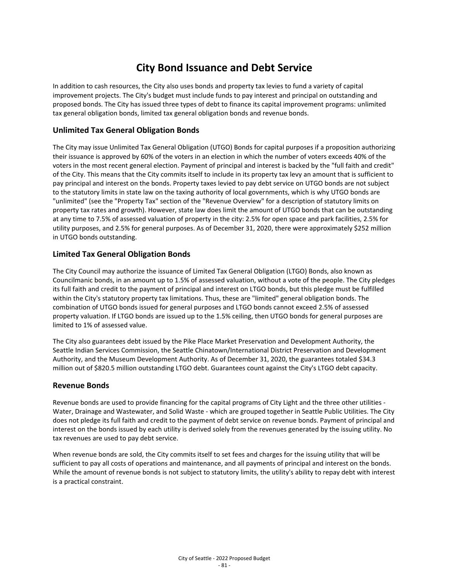# **City Bond Issuance and Debt Service**

In addition to cash resources, the City also uses bonds and property tax levies to fund a variety of capital improvement projects. The City's budget must include funds to pay interest and principal on outstanding and proposed bonds. The City has issued three types of debt to finance its capital improvement programs: unlimited tax general obligation bonds, limited tax general obligation bonds and revenue bonds.

## **Unlimited Tax General Obligation Bonds**

The City may issue Unlimited Tax General Obligation (UTGO) Bonds for capital purposes if a proposition authorizing their issuance is approved by 60% of the voters in an election in which the number of voters exceeds 40% of the voters in the most recent general election. Payment of principal and interest is backed by the "full faith and credit" of the City. This means that the City commits itself to include in its property tax levy an amount that is sufficient to pay principal and interest on the bonds. Property taxes levied to pay debt service on UTGO bonds are not subject to the statutory limits in state law on the taxing authority of local governments, which is why UTGO bonds are "unlimited" (see the "Property Tax" section of the "Revenue Overview" for a description of statutory limits on property tax rates and growth). However, state law does limit the amount of UTGO bonds that can be outstanding at any time to 7.5% of assessed valuation of property in the city: 2.5% for open space and park facilities, 2.5% for utility purposes, and 2.5% for general purposes. As of December 31, 2020, there were approximately \$252 million in UTGO bonds outstanding.

## **Limited Tax General Obligation Bonds**

The City Council may authorize the issuance of Limited Tax General Obligation (LTGO) Bonds, also known as Councilmanic bonds, in an amount up to 1.5% of assessed valuation, without a vote of the people. The City pledges its full faith and credit to the payment of principal and interest on LTGO bonds, but this pledge must be fulfilled within the City's statutory property tax limitations. Thus, these are "limited" general obligation bonds. The combination of UTGO bonds issued for general purposes and LTGO bonds cannot exceed 2.5% of assessed property valuation. If LTGO bonds are issued up to the 1.5% ceiling, then UTGO bonds for general purposes are limited to 1% of assessed value.

The City also guarantees debt issued by the Pike Place Market Preservation and Development Authority, the Seattle Indian Services Commission, the Seattle Chinatown/International District Preservation and Development Authority, and the Museum Development Authority. As of December 31, 2020, the guarantees totaled \$34.3 million out of \$820.5 million outstanding LTGO debt. Guarantees count against the City's LTGO debt capacity.

## **Revenue Bonds**

Revenue bonds are used to provide financing for the capital programs of City Light and the three other utilities - Water, Drainage and Wastewater, and Solid Waste - which are grouped together in Seattle Public Utilities. The City does not pledge its full faith and credit to the payment of debt service on revenue bonds. Payment of principal and interest on the bonds issued by each utility is derived solely from the revenues generated by the issuing utility. No tax revenues are used to pay debt service.

When revenue bonds are sold, the City commits itself to set fees and charges for the issuing utility that will be sufficient to pay all costs of operations and maintenance, and all payments of principal and interest on the bonds. While the amount of revenue bonds is not subject to statutory limits, the utility's ability to repay debt with interest is a practical constraint.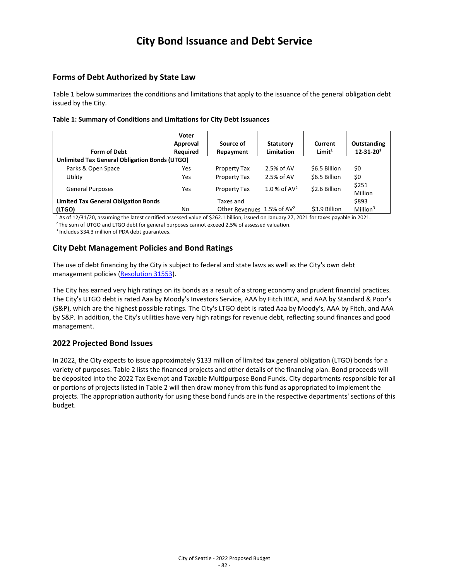# **City Bond Issuance and Debt Service**

## **Forms of Debt Authorized by State Law**

Table 1 below summarizes the conditions and limitations that apply to the issuance of the general obligation debt issued by the City.

#### **Table 1: Summary of Conditions and Limitations for City Debt Issuances**

|                                               | Voter<br>Approval | Source of                                 | <b>Statutory</b>  | Current            | Outstanding      |  |  |
|-----------------------------------------------|-------------------|-------------------------------------------|-------------------|--------------------|------------------|--|--|
| Form of Debt                                  | Required          | Repayment                                 | <b>Limitation</b> | Limit <sup>1</sup> | $12 - 31 - 201$  |  |  |
| Unlimited Tax General Obligation Bonds (UTGO) |                   |                                           |                   |                    |                  |  |  |
| Parks & Open Space                            | Yes               | Property Tax                              | $2.5%$ of AV      | \$6.5 Billion      | \$0              |  |  |
| Utility                                       | Yes               | Property Tax                              | 2.5% of AV        | \$6.5 Billion      | \$0              |  |  |
| <b>General Purposes</b>                       | Yes               | Property Tax                              | 1.0 % of $AV^2$   | \$2.6 Billion      | \$251<br>Million |  |  |
| <b>Limited Tax General Obligation Bonds</b>   |                   | Taxes and                                 |                   |                    | \$893            |  |  |
| (LTGO)                                        | No                | Other Revenues $1.5\%$ of AV <sup>2</sup> |                   | \$3.9 Billion      | Million $3$      |  |  |

 $1$  As of 12/31/20, assuming the latest certified assessed value of \$262.1 billion, issued on January 27, 2021 for taxes payable in 2021.<br><sup>2</sup>The sum of UTGO and LTGO debt for general purposes cannot exceed 2.5% of assesse

<sup>3</sup> Includes \$34.3 million of PDA debt guarantees.

# **City Debt Management Policies and Bond Ratings**

The use of debt financing by the City is subject to federal and state laws as well as the City's own debt management policies [\(Resolution 31553\)](http://clerk.seattle.gov/%7ElegislativeItems/Resolutions/Resn_31553.pdf).

The City has earned very high ratings on its bonds as a result of a strong economy and prudent financial practices. The City's UTGO debt is rated Aaa by Moody's Investors Service, AAA by Fitch IBCA, and AAA by Standard & Poor's (S&P), which are the highest possible ratings. The City's LTGO debt is rated Aaa by Moody's, AAA by Fitch, and AAA by S&P. In addition, the City's utilities have very high ratings for revenue debt, reflecting sound finances and good management.

## **2022 Projected Bond Issues**

In 2022, the City expects to issue approximately \$133 million of limited tax general obligation (LTGO) bonds for a variety of purposes. Table 2 lists the financed projects and other details of the financing plan. Bond proceeds will be deposited into the 2022 Tax Exempt and Taxable Multipurpose Bond Funds. City departments responsible for all or portions of projects listed in Table 2 will then draw money from this fund as appropriated to implement the projects. The appropriation authority for using these bond funds are in the respective departments' sections of this budget.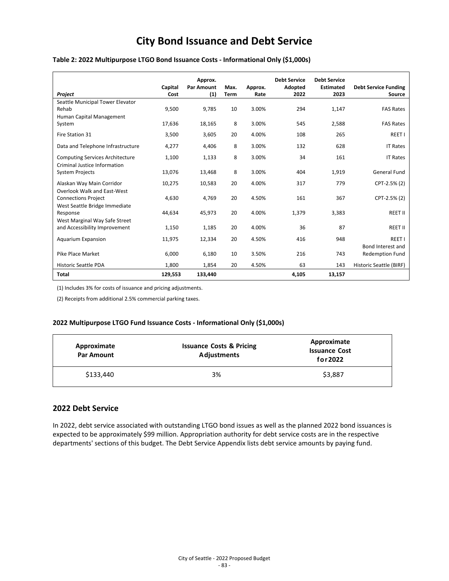# **City Bond Issuance and Debt Service**

### **Table 2: 2022 Multipurpose LTGO Bond Issuance Costs - Informational Only (\$1,000s)**

|                                        | Capital | Approx.<br><b>Par Amount</b> | Max.        | Approx. | <b>Debt Service</b><br>Adopted | <b>Debt Service</b><br><b>Estimated</b> | <b>Debt Service Funding</b> |
|----------------------------------------|---------|------------------------------|-------------|---------|--------------------------------|-----------------------------------------|-----------------------------|
| Project                                | Cost    | (1)                          | <b>Term</b> | Rate    | 2022                           | 2023                                    | Source                      |
| Seattle Municipal Tower Elevator       |         |                              |             |         |                                |                                         |                             |
| Rehab                                  | 9,500   | 9,785                        | 10          | 3.00%   | 294                            | 1,147                                   | <b>FAS Rates</b>            |
| Human Capital Management               |         |                              |             |         |                                |                                         |                             |
| System                                 | 17.636  | 18,165                       | 8           | 3.00%   | 545                            | 2.588                                   | <b>FAS Rates</b>            |
| Fire Station 31                        | 3.500   | 3.605                        | 20          | 4.00%   | 108                            | 265                                     | REET I                      |
| Data and Telephone Infrastructure      | 4.277   | 4.406                        | 8           | 3.00%   | 132                            | 628                                     | <b>IT Rates</b>             |
| <b>Computing Services Architecture</b> | 1,100   | 1,133                        | 8           | 3.00%   | 34                             | 161                                     | <b>IT Rates</b>             |
| Criminal Justice Information           |         |                              |             |         |                                |                                         |                             |
| <b>System Projects</b>                 | 13,076  | 13,468                       | 8           | 3.00%   | 404                            | 1,919                                   | General Fund                |
| Alaskan Way Main Corridor              | 10,275  | 10,583                       | 20          | 4.00%   | 317                            | 779                                     | CPT-2.5% (2)                |
| <b>Overlook Walk and East-West</b>     |         |                              |             |         |                                |                                         |                             |
| <b>Connections Project</b>             | 4.630   | 4,769                        | 20          | 4.50%   | 161                            | 367                                     | CPT-2.5% (2)                |
| West Seattle Bridge Immediate          |         |                              |             |         |                                |                                         |                             |
| Response                               | 44,634  | 45,973                       | 20          | 4.00%   | 1,379                          | 3,383                                   | REET II                     |
| West Marginal Way Safe Street          |         |                              |             |         |                                |                                         |                             |
| and Accessibility Improvement          | 1,150   | 1,185                        | 20          | 4.00%   | 36                             | 87                                      | REET II                     |
| <b>Aquarium Expansion</b>              | 11,975  | 12,334                       | 20          | 4.50%   | 416                            | 948                                     | REET I                      |
|                                        |         |                              |             |         |                                |                                         | Bond Interest and           |
| Pike Place Market                      | 6.000   | 6,180                        | 10          | 3.50%   | 216                            | 743                                     | <b>Redemption Fund</b>      |
| <b>Historic Seattle PDA</b>            | 1,800   | 1,854                        | 20          | 4.50%   | 63                             | 143                                     | Historic Seattle (BIRF)     |
| <b>Total</b>                           | 129,553 | 133,440                      |             |         | 4,105                          | 13,157                                  |                             |

(1) Includes 3% for costs of issuance and pricing adjustments.

(2) Receipts from additional 2.5% commercial parking taxes.

#### **2022 Multipurpose LTGO Fund Issuance Costs - Informational Only (\$1,000s)**

| Approximate<br><b>Par Amount</b> | <b>Issuance Costs &amp; Pricing</b><br><b>Adjustments</b> | Approximate<br><b>Issuance Cost</b><br>for 2022 |  |  |
|----------------------------------|-----------------------------------------------------------|-------------------------------------------------|--|--|
| \$133,440                        | 3%                                                        | \$3,887                                         |  |  |

### **2022 Debt Service**

In 2022, debt service associated with outstanding LTGO bond issues as well as the planned 2022 bond issuances is expected to be approximately \$99 million. Appropriation authority for debt service costs are in the respective departments' sections of this budget. The Debt Service Appendix lists debt service amounts by paying fund.